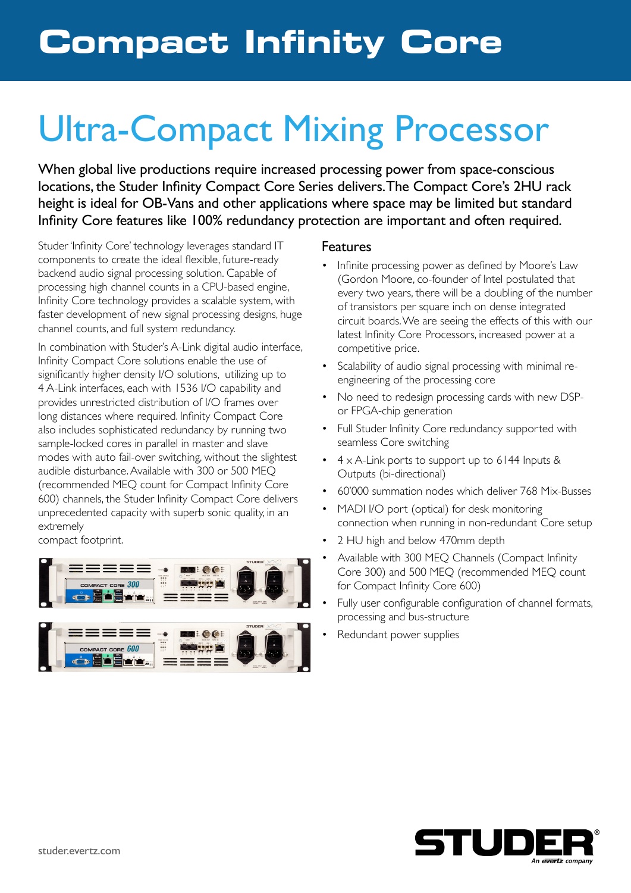# Ultra-Compact Mixing Processor

When global live productions require increased processing power from space-conscious locations, the Studer Infinity Compact Core Series delivers. The Compact Core's 2HU rack height is ideal for OB-Vans and other applications where space may be limited but standard Infinity Core features like 100% redundancy protection are important and often required.

Studer 'Infinity Core' technology leverages standard IT components to create the ideal flexible, future-ready backend audio signal processing solution. Capable of processing high channel counts in a CPU-based engine, Infinity Core technology provides a scalable system, with faster development of new signal processing designs, huge channel counts, and full system redundancy.

In combination with Studer's A-Link digital audio interface, Infinity Compact Core solutions enable the use of significantly higher density I/O solutions, utilizing up to 4 A-Link interfaces, each with 1536 I/O capability and provides unrestricted distribution of I/O frames over long distances where required. Infinity Compact Core also includes sophisticated redundancy by running two sample-locked cores in parallel in master and slave modes with auto fail-over switching, without the slightest audible disturbance. Available with 300 or 500 MEQ (recommended MEQ count for Compact Infinity Core 600) channels, the Studer Infinity Compact Core delivers unprecedented capacity with superb sonic quality, in an extremely

compact footprint.

**ODEENE** 



 $=$ 

#### Features

- Infinite processing power as defined by Moore's Law (Gordon Moore, co-founder of Intel postulated that every two years, there will be a doubling of the number of transistors per square inch on dense integrated circuit boards. We are seeing the effects of this with our latest Infinity Core Processors, increased power at a competitive price.
- Scalability of audio signal processing with minimal reengineering of the processing core
- No need to redesign processing cards with new DSPor FPGA-chip generation
- Full Studer Infinity Core redundancy supported with seamless Core switching
- $\cdot$  4 x A-Link ports to support up to 6144 Inputs & Outputs (bi-directional)
- 60'000 summation nodes which deliver 768 Mix-Busses
- MADI I/O port (optical) for desk monitoring connection when running in non-redundant Core setup
- 2 HU high and below 470mm depth
- Available with 300 MEQ Channels (Compact Infinity Core 300) and 500 MEQ (recommended MEQ count for Compact Infinity Core 600)
- Fully user configurable configuration of channel formats, processing and bus-structure
- Redundant power supplies